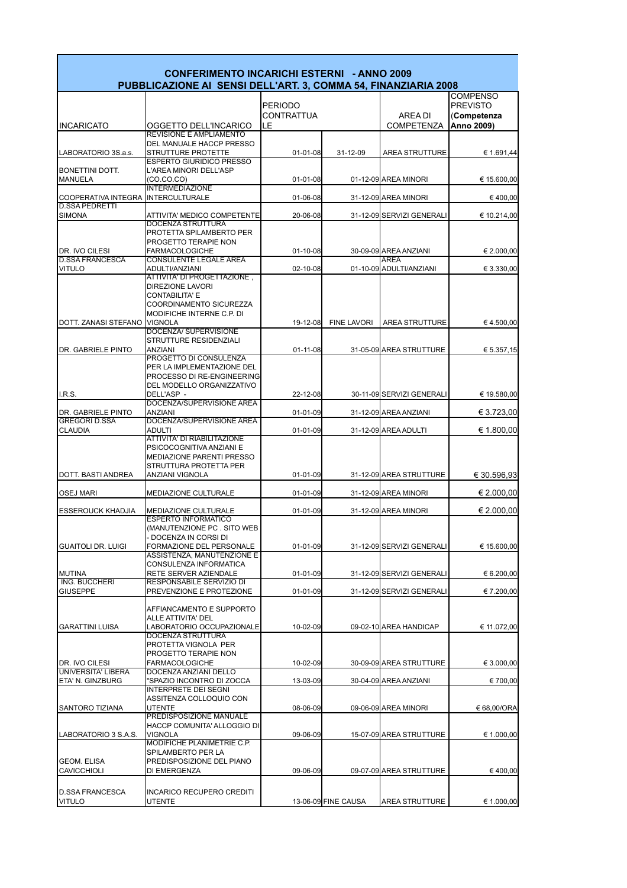

 $\mathbf{r}$ 

| <b>CONFERIMENTO INCARICHI ESTERNI - ANNO 2009</b><br>PUBBLICAZIONE AI SENSI DELL'ART. 3, COMMA 54, FINANZIARIA 2008 |                                                                                                                                  |                              |                     |                                               |                                                   |  |  |  |  |
|---------------------------------------------------------------------------------------------------------------------|----------------------------------------------------------------------------------------------------------------------------------|------------------------------|---------------------|-----------------------------------------------|---------------------------------------------------|--|--|--|--|
|                                                                                                                     |                                                                                                                                  | <b>PERIODO</b><br>CONTRATTUA |                     | AREA DI                                       | <b>COMPENSO</b><br><b>PREVISTO</b><br>(Competenza |  |  |  |  |
| <b>INCARICATO</b>                                                                                                   | OGGETTO DELL'INCARICO                                                                                                            | LE                           |                     | <b>COMPETENZA</b>                             | Anno 2009)                                        |  |  |  |  |
| LABORATORIO 3S.a.s.                                                                                                 | REVISIONE E AMPLIAMENTO<br>DEL MANUALE HACCP PRESSO<br>STRUTTURE PROTETTE                                                        | 01-01-08                     | 31-12-09            | AREA STRUTTURE                                | € 1.691,44                                        |  |  |  |  |
| <b>BONETTINI DOTT.</b><br><b>MANUELA</b>                                                                            | <b>ESPERTO GIURIDICO PRESSO</b><br>L'AREA MINORI DELL'ASP                                                                        | 01-01-08                     |                     | 01-12-09 AREA MINORI                          |                                                   |  |  |  |  |
| <b>COOPERATIVA INTEGRA</b>                                                                                          | (CO.CO.CO)<br><b>INTERMEDIAZIONE</b><br><b>INTERCULTURALE</b>                                                                    | 01-06-08                     |                     | 31-12-09 AREA MINORI                          | € 15.600,00<br>€400,00                            |  |  |  |  |
| <b>D.SSA PEDRETTI</b><br><b>SIMONA</b>                                                                              | ATTIVITA' MEDICO COMPETENTE                                                                                                      | 20-06-08                     |                     | 31-12-09 SERVIZI GENERALI                     | € 10.214,00                                       |  |  |  |  |
|                                                                                                                     | <b>DOCENZA STRUTTURA</b><br>PROTETTA SPILAMBERTO PER<br>PROGETTO TERAPIE NON                                                     |                              |                     |                                               |                                                   |  |  |  |  |
| DR. IVO CILESI<br><b>D.SSA FRANCESCA</b>                                                                            | <b>FARMACOLOGICHE</b><br><b>CONSULENTE LEGALE AREA</b>                                                                           | 01-10-08                     |                     | 30-09-09 AREA ANZIANI<br><b>AREA</b>          | € 2.000,00                                        |  |  |  |  |
| <b>VITULO</b>                                                                                                       | ADULTI/ANZIANI                                                                                                                   | 02-10-08                     |                     | 01-10-09 ADULTI/ANZIANI                       | € 3.330,00                                        |  |  |  |  |
| DOTT. ZANASI STEFANO VIGNOLA                                                                                        | ATTIVITA' DI PROGETTAZIONE,<br>DIREZIONE LAVORI<br><b>CONTABILITA' E</b><br>COORDINAMENTO SICUREZZA<br>MODIFICHE INTERNE C.P. DI | 19-12-08                     | <b>FINE LAVORI</b>  | <b>AREA STRUTTURE</b>                         | €4.500,00                                         |  |  |  |  |
|                                                                                                                     | <b>DOCENZA/ SUPERVISIONE</b>                                                                                                     |                              |                     |                                               |                                                   |  |  |  |  |
| DR. GABRIELE PINTO                                                                                                  | STRUTTURE RESIDENZIALI<br><b>ANZIANI</b>                                                                                         | $01 - 11 - 08$               |                     | 31-05-09 AREA STRUTTURE                       | € 5.357,15                                        |  |  |  |  |
|                                                                                                                     | <b>PROGETTO DI CONSULENZA</b><br>PER LA IMPLEMENTAZIONE DEL<br>PROCESSO DI RE-ENGINEERING<br>DEL MODELLO ORGANIZZATIVO           |                              |                     |                                               |                                                   |  |  |  |  |
| <b>I.R.S.</b>                                                                                                       | DELL'ASP-                                                                                                                        | 22-12-08                     |                     | 30-11-09 SERVIZI GENERALI                     | € 19.580,00                                       |  |  |  |  |
|                                                                                                                     | DOCENZA/SUPERVISIONE AREA                                                                                                        |                              |                     |                                               |                                                   |  |  |  |  |
| DR. GABRIELE PINTO<br><b>GREGORI D.SSA</b><br><b>CLAUDIA</b>                                                        | <b>ANZIANI</b><br>DOCENZA/SUPERVISIONE AREA<br><b>ADULTI</b>                                                                     | 01-01-09<br>$01 - 01 - 09$   |                     | 31-12-09 AREA ANZIANI<br>31-12-09 AREA ADULTI | € 3.723,00<br>€ 1.800,00                          |  |  |  |  |
|                                                                                                                     | <b>ATTIVITA' DI RIABILITAZIONE</b><br>PSICOCOGNITIVA ANZIANI E<br><b>MEDIAZIONE PARENTI PRESSO</b><br>STRUTTURA PROTETTA PER     |                              |                     |                                               |                                                   |  |  |  |  |
| DOTT, BASTI ANDREA                                                                                                  | ANZIANI VIGNOLA                                                                                                                  | 01-01-09                     |                     | 31-12-09 AREA STRUTTURE                       | € 30.596.93                                       |  |  |  |  |
| <b>OSEJ MARI</b>                                                                                                    | MEDIAZIONE CULTURALE                                                                                                             | $01 - 01 - 09$               |                     | 31-12-09 AREA MINORI                          | € 2.000,00                                        |  |  |  |  |
| <b>ESSEROUCK KHADJIA</b>                                                                                            | <b>MEDIAZIONE CULTURALE</b><br><b>ESPERTO INFORMATICO</b>                                                                        | $01 - 01 - 09$               |                     | 31-12-09 AREA MINORI                          | € 2.000,00                                        |  |  |  |  |
|                                                                                                                     | (MANUTENZIONE PC, SITO WEB)<br>- DOCENZA IN CORSI DI                                                                             |                              |                     |                                               |                                                   |  |  |  |  |
| <b>GUAITOLI DR. LUIGI</b>                                                                                           | FORMAZIONE DEL PERSONALE<br>ASSISTENZA, MANUTENZIONE E                                                                           | 01-01-09                     |                     | 31-12-09 SERVIZI GENERALI                     | € 15.600,00                                       |  |  |  |  |
| <b>MUTINA</b>                                                                                                       | CONSULENZA INFORMATICA<br>RETE SERVER AZIENDALE                                                                                  | 01-01-09                     |                     | 31-12-09 SERVIZI GENERALI                     | € 6.200,00                                        |  |  |  |  |
| ING. BUCCHERI<br><b>GIUSEPPE</b>                                                                                    | RESPONSABILE SERVIZIO DI<br>PREVENZIONE E PROTEZIONE                                                                             | 01-01-09                     |                     | 31-12-09 SERVIZI GENERALI                     | € 7.200,00                                        |  |  |  |  |
|                                                                                                                     | AFFIANCAMENTO E SUPPORTO<br>ALLE ATTIVITA' DEL                                                                                   |                              |                     |                                               |                                                   |  |  |  |  |
| <b>GARATTINI LUISA</b>                                                                                              | LABORATORIO OCCUPAZIONALE                                                                                                        | 10-02-09                     |                     | 09-02-10 AREA HANDICAP                        | € 11.072,00                                       |  |  |  |  |
|                                                                                                                     | DOCENZA STRUTTURA<br>PROTETTA VIGNOLA PER<br>PROGETTO TERAPIE NON                                                                |                              |                     |                                               |                                                   |  |  |  |  |
| DR. IVO CILESI<br><b>UNIVERSITA' LIBERA</b>                                                                         | <b>FARMACOLOGICHE</b><br>DOCENZA ANZIANI DELLO                                                                                   | 10-02-09                     |                     | 30-09-09 AREA STRUTTURE                       | € 3.000,00                                        |  |  |  |  |
| ETA' N. GINZBURG                                                                                                    | "SPAZIO INCONTRO DI ZOCCA<br><b>INTERPRETE DEI SEGNI</b>                                                                         | 13-03-09                     |                     | 30-04-09 AREA ANZIANI                         | € 700,00                                          |  |  |  |  |
|                                                                                                                     | ASSITENZA COLLOQUIO CON                                                                                                          |                              |                     |                                               |                                                   |  |  |  |  |
| SANTORO TIZIANA                                                                                                     | <b>UTENTE</b><br>PREDISPOSIZIONE MANUALE                                                                                         | 08-06-09                     |                     | 09-06-09 AREA MINORI                          | € 68,00/ORA                                       |  |  |  |  |
| LABORATORIO 3 S.A.S.                                                                                                | HACCP COMUNITA' ALLOGGIO DI<br><b>VIGNOLA</b><br>MODIFICHE PLANIMETRIE C.P.                                                      | 09-06-09                     |                     | 15-07-09 AREA STRUTTURE                       | € 1.000,00                                        |  |  |  |  |
|                                                                                                                     | SPILAMBERTO PER LA                                                                                                               |                              |                     |                                               |                                                   |  |  |  |  |
| <b>GEOM. ELISA</b><br><b>CAVICCHIOLI</b>                                                                            | PREDISPOSIZIONE DEL PIANO<br>DI EMERGENZA                                                                                        | 09-06-09                     |                     | 09-07-09 AREA STRUTTURE                       | €400,00                                           |  |  |  |  |
| <b>D.SSA FRANCESCA</b><br><b>VITULO</b>                                                                             | INCARICO RECUPERO CREDITI<br>UTENTE                                                                                              |                              | 13-06-09 FINE CAUSA | AREA STRUTTURE                                | € 1.000,00                                        |  |  |  |  |